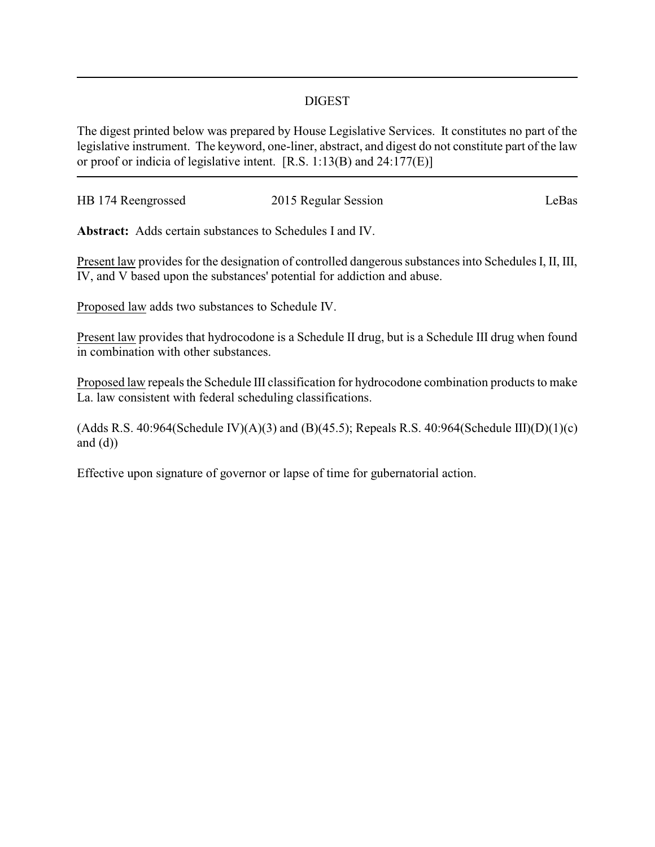## DIGEST

The digest printed below was prepared by House Legislative Services. It constitutes no part of the legislative instrument. The keyword, one-liner, abstract, and digest do not constitute part of the law or proof or indicia of legislative intent. [R.S. 1:13(B) and 24:177(E)]

| HB 174 Reengrossed | 2015 Regular Session | LeBas |
|--------------------|----------------------|-------|
|                    |                      |       |

**Abstract:** Adds certain substances to Schedules I and IV.

Present law provides for the designation of controlled dangerous substances into Schedules I, II, III, IV, and V based upon the substances' potential for addiction and abuse.

Proposed law adds two substances to Schedule IV.

Present law provides that hydrocodone is a Schedule II drug, but is a Schedule III drug when found in combination with other substances.

Proposed law repeals the Schedule III classification for hydrocodone combination products to make La. law consistent with federal scheduling classifications.

(Adds R.S. 40:964(Schedule IV)(A)(3) and (B)(45.5); Repeals R.S. 40:964(Schedule III)(D)(1)(c) and  $(d)$ )

Effective upon signature of governor or lapse of time for gubernatorial action.